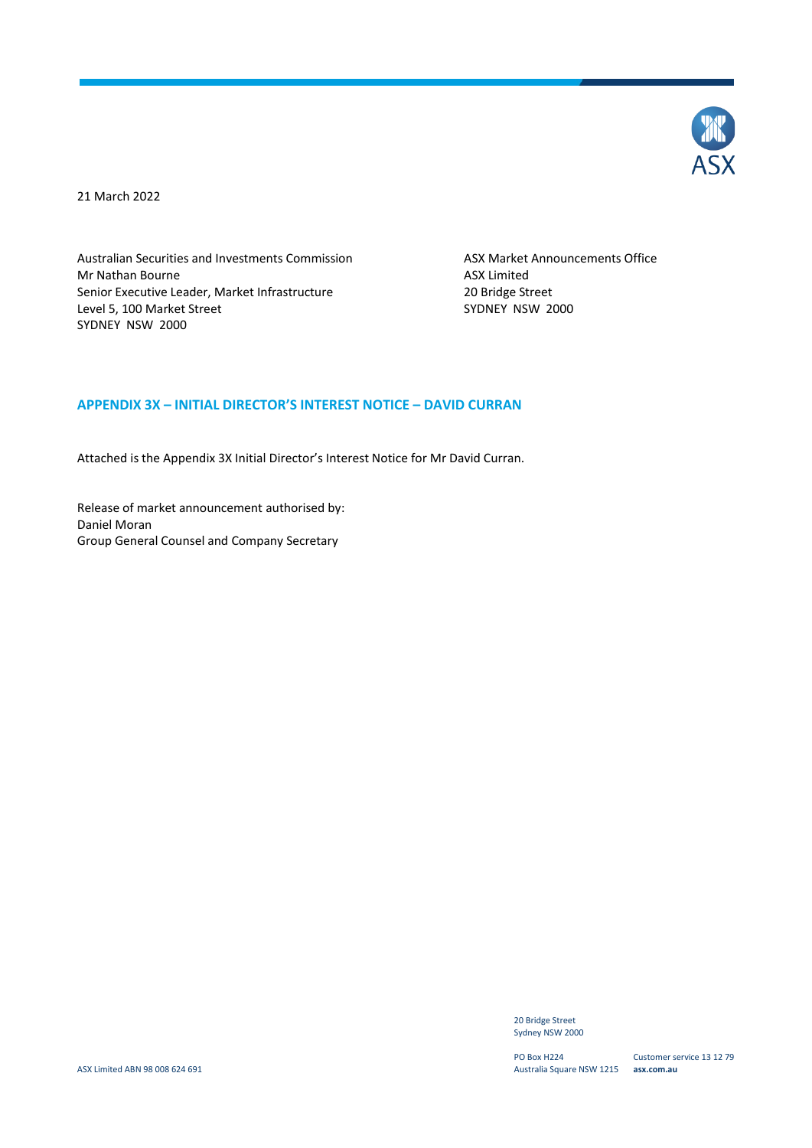

21 March 2022

Australian Securities and Investments Commission Mr Nathan Bourne Senior Executive Leader, Market Infrastructure Level 5, 100 Market Street SYDNEY NSW 2000

ASX Market Announcements Office ASX Limited 20 Bridge Street SYDNEY NSW 2000

#### **APPENDIX 3X – INITIAL DIRECTOR'S INTEREST NOTICE – DAVID CURRAN**

Attached is the Appendix 3X Initial Director's Interest Notice for Mr David Curran.

Release of market announcement authorised by: Daniel Moran Group General Counsel and Company Secretary

> 20 Bridge Street Sydney NSW 2000

PO Box H224 Australia Square NSW 1215 **asx.com.au**

Customer service 13 12 79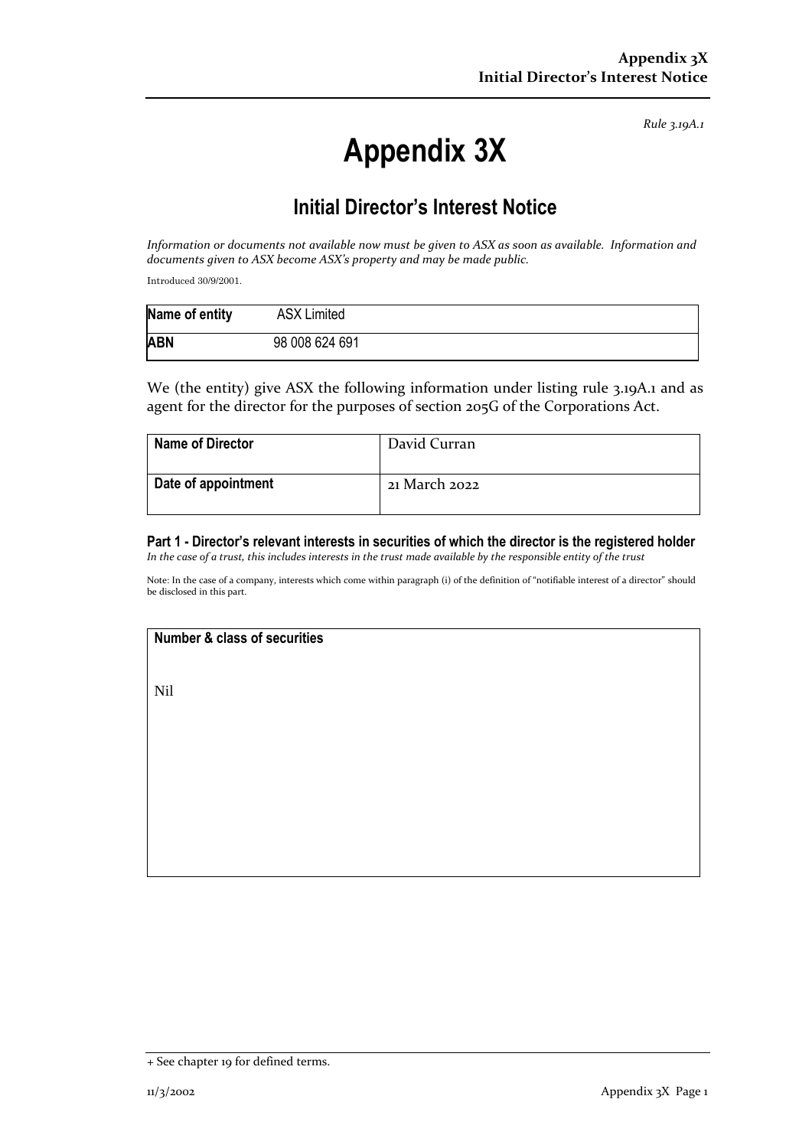*Rule 3.19A.1*

# **Appendix 3X**

# **Initial Director's Interest Notice**

*Information or documents not available now must be given to ASX as soon as available. Information and documents given to ASX become ASX's property and may be made public.*

Introduced 30/9/2001.

| Name of entity | <b>ASX Limited</b> |
|----------------|--------------------|
| <b>ABN</b>     | 98 008 624 691     |

We (the entity) give ASX the following information under listing rule 3.19A.1 and as agent for the director for the purposes of section 205G of the Corporations Act.

| <b>Name of Director</b> | David Curran  |
|-------------------------|---------------|
| Date of appointment     | 21 March 2022 |

**Part 1 - Director's relevant interests in securities of which the director is the registered holder** *In the case of a trust, this includes interests in the trust made available by the responsible entity of the trust*

Note: In the case of a company, interests which come within paragraph (i) of the definition of "notifiable interest of a director" should be disclosed in this part.

## **Number & class of securities**

Nil

<sup>+</sup> See chapter 19 for defined terms.